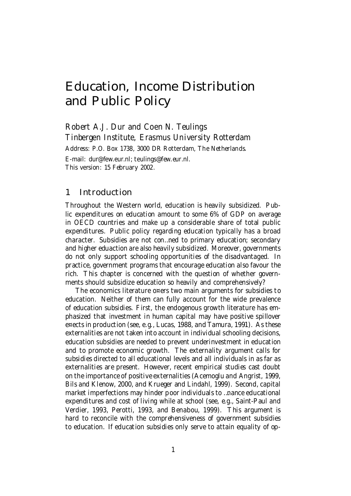# Education, Income Distribution and Public Policy

Robert A.J. Dur and Coen N. Teulings Tinbergen Institute, Erasmus University Rotterdam Address: P.O. Box 1738, 3000 DR Rotterdam, The Netherlands. E-mail: dur@few.eur.nl; teulings@few.eur.nl. This version: 15 February 2002.

# 1 Introduction

Throughout the Western world, education is heavily subsidized. Public expenditures on education amount to some 6% of GDP on average in OECD countries and make up a considerable share of total public expenditures. Public policy regarding education typically has a broad character. Subsidies are not con…ned to primary education; secondary and higher eduaction are also heavily subsidized. Moreover, governments do not only support schooling opportunities of the disadvantaged. In practice, government programs that encourage education also favour the rich. This chapter is concerned with the question of whether governments should subsidize education so heavily and comprehensively?

The economics literature o¤ers two main arguments for subsidies to education. Neither of them can fully account for the wide prevalence of education subsidies. First, the endogenous growth literature has emphasized that investment in human capital may have positive spillover e¤ects in production (see, e.g., Lucas, 1988, and Tamura, 1991). As these externalities are not taken into account in individual schooling decisions, education subsidies are needed to prevent underinvestment in education and to promote economic growth. The externality argument calls for subsidies directed to all educational levels and all individuals in as far as externalities are present. However, recent empirical studies cast doubt on the importance of positive externalities (Acemoglu and Angrist, 1999, Bils and Klenow, 2000, and Krueger and Lindahl, 1999). Second, capital market imperfections may hinder poor individuals to …nance educational expenditures and cost of living while at school (see, e.g., Saint-Paul and Verdier, 1993, Perotti, 1993, and Benabou, 1999). This argument is hard to reconcile with the comprehensiveness of government subsidies to education. If education subsidies only serve to attain equality of op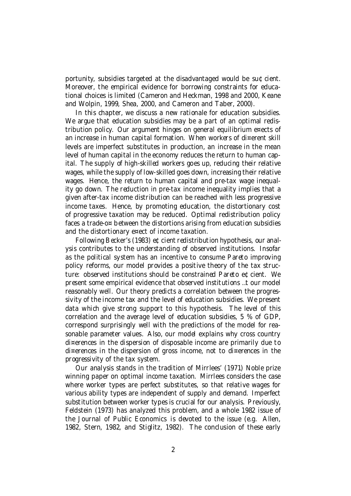portunity, subsidies targeted at the disadvantaged would be su¢cient. Moreover, the empirical evidence for borrowing constraints for educational choices is limited (Cameron and Heckman, 1998 and 2000, Keane and Wolpin, 1999, Shea, 2000, and Cameron and Taber, 2000).

In this chapter, we discuss a new rationale for education subsidies. We argue that education subsidies may be a part of an optimal redistribution policy. Our argument hinges on general equilibrium e¤ects of an increase in human capital formation. When workers of di¤erent skill levels are imperfect substitutes in production, an increase in the mean level of human capital in the economy reduces the return to human capital. The supply of high-skilled workers goes up, reducing their relative wages, while the supply of low-skilled goes down, increasing their relative wages. Hence, the return to human capital and pre-tax wage inequality go down. The reduction in pre-tax income inequality implies that a given after-tax income distribution can be reached with less progressive income taxes. Hence, by promoting education, the distortionary cost of progressive taxation may be reduced. Optimal redistribution policy faces a trade-o¤ between the distortions arising from education subsidies and the distortionary e¤ect of income taxation.

Following Becker's (1983) e¢cient redistribution hypothesis, our analysis contributes to the understanding of observed institutions. Insofar as the political system has an incentive to consume Pareto improving policy reforms, our model provides a positive theory of the tax structure: observed institutions should be constrained Pareto e¢cient. We present some empirical evidence that observed institutions …t our model reasonably well. Our theory predicts a correlation between the progressivity of the income tax and the level of education subsidies. We present data which give strong support to this hypothesis. The level of this correlation and the average level of education subsidies, 5 % of GDP, correspond surprisingly well with the predictions of the model for reasonable parameter values. Also, our model explains why cross country di¤erences in the dispersion of disposable income are primarily due to di¤erences in the dispersion of gross income, not to di¤erences in the progressivity of the tax system.

Our analysis stands in the tradition of Mirrlees' (1971) Noble prize winning paper on optimal income taxation. Mirrlees considers the case where worker types are perfect substitutes, so that relative wages for various ability types are independent of supply and demand. Imperfect substitution between worker types is crucial for our analysis. Previously, Feldstein (1973) has analyzed this problem, and a whole 1982 issue of the Journal of Public Economics is devoted to the issue (e.g. Allen, 1982, Stern, 1982, and Stiglitz, 1982). The conclusion of these early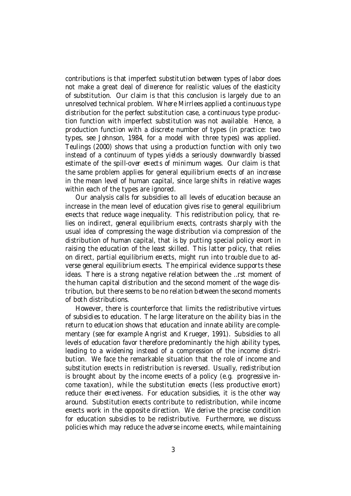contributions is that imperfect substitution between types of labor does not make a great deal of di¤erence for realistic values of the elasticity of substitution. Our claim is that this conclusion is largely due to an unresolved technical problem. Where Mirrlees applied a continuous type distribution for the perfect substitution case, a continuous type production function with imperfect substitution was not available. Hence, a production function with a discrete number of types (in practice: two types, see Johnson, 1984, for a model with three types) was applied. Teulings (2000) shows that using a production function with only two instead of a continuum of types yields a seriously downwardly biassed estimate of the spill-over e¤ects of minimum wages. Our claim is that the same problem applies for general equilibrium e¤ects of an increase in the mean level of human capital, since large shifts in relative wages within each of the types are ignored.

Our analysis calls for subsidies to all levels of education because an increase in the mean level of education gives rise to general equilibrium e¤ects that reduce wage inequality. This redistribution policy, that relies on indirect, general equilibrium e¤ects, contrasts sharply with the usual idea of compressing the wage distribution via compression of the distribution of human capital, that is by putting special policy e¤ort in raising the education of the least skilled. This latter policy, that relies on direct, partial equilibrium e¤ects, might run into trouble due to adverse general equilibrium e¤ects. The empirical evidence supports these ideas. There is a strong negative relation between the …rst moment of the human capital distribution and the second moment of the wage distribution, but there seems to be no relation between the second moments of both distributions.

However, there is counterforce that limits the redistributive virtues of subsidies to education. The large literature on the ability bias in the return to education shows that education and innate ability are complementary (see for example Angrist and Krueger, 1991). Subsidies to all levels of education favor therefore predominantly the high ability types, leading to a widening instead of a compression of the income distribution. We face the remarkable situation that the role of income and substitution e¤ects in redistribution is reversed. Usually, redistribution is brought about by the income e¤ects of a policy (e.g. progressive income taxation), while the substitution e¤ects (less productive e¤ort) reduce their e¤ectiveness. For education subsidies, it is the other way around. Substitution e¤ects contribute to redistribution, while income e¤ects work in the opposite direction. We derive the precise condition for education subsidies to be redistributive. Furthermore, we discuss policies which may reduce the adverse income e¤ects, while maintaining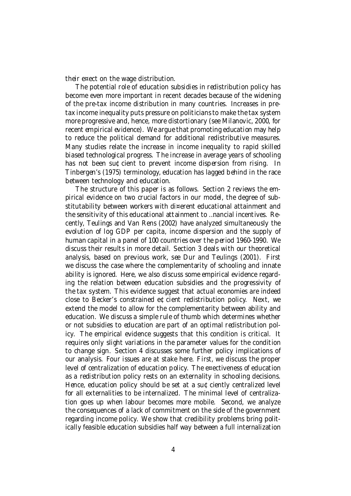their e¤ect on the wage distribution.

The potential role of education subsidies in redistribution policy has become even more important in recent decades because of the widening of the pre-tax income distribution in many countries. Increases in pretax income inequality puts pressure on politiciansto make the tax system more progressive and, hence, more distortionary (see Milanovic, 2000, for recent empirical evidence). We argue that promoting education may help to reduce the political demand for additional redistributive measures. Many studies relate the increase in income inequality to rapid skilled biased technological progress. The increase in average years of schooling has not been su¢cient to prevent income dispersion from rising. In Tinbergen's (1975) terminology, education has lagged behind in the race between technology and education.

The structure of this paper is as follows. Section 2 reviews the empirical evidence on two crucial factors in our model, the degree of substitutability between workers with di¤erent educational attainment and the sensitivity of this educational attainment to …nancial incentives. Recently, Teulings and Van Rens (2002) have analyzed simultaneously the evolution of log GDP per capita, income dispersion and the supply of human capital in a panel of 100 countries over the period 1960-1990. We discuss their results in more detail. Section 3 deals with our theoretical analysis, based on previous work, see Dur and Teulings (2001). First we discuss the case where the complementarity of schooling and innate ability is ignored. Here, we also discuss some empirical evidence regarding the relation between education subsidies and the progressivity of the tax system. This evidence suggest that actual economies are indeed close to Becker's constrained e¢cient redistribution policy. Next, we extend the model to allow for the complementarity between ability and education. We discuss a simple rule of thumb which determines whether or not subsidies to education are part of an optimal redistribution policy. The empirical evidence suggests that this condition is critical. It requires only slight variations in the parameter values for the condition to change sign. Section 4 discusses some further policy implications of our analysis. Four issues are at stake here. First, we discuss the proper level of centralization of education policy. The e¤ectiveness of education as a redistribution policy rests on an externality in schooling decisions. Hence, education policy should be set at a su¢ciently centralized level for all externalities to be internalized. The minimal level of centralization goes up when labour becomes more mobile. Second, we analyze the consequences of a lack of commitment on the side of the government regarding income policy. We show that credibility problems bring politically feasible education subsidies half way between a full internalization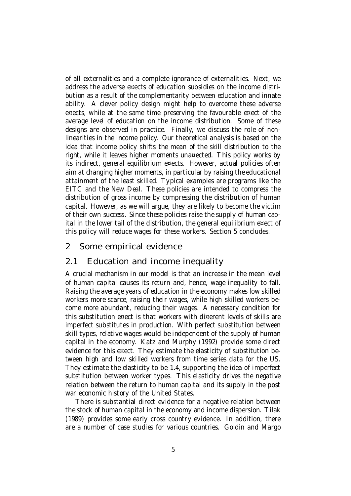of all externalities and a complete ignorance of externalities. Next, we address the adverse e¤ects of education subsidies on the income distribution as a result of the complementarity between education and innate ability. A clever policy design might help to overcome these adverse e¤ects, while at the same time preserving the favourable e¤ect of the average level of education on the income distribution. Some of these designs are observed in practice. Finally, we discuss the role of nonlinearities in the income policy. Our theoretical analysis is based on the idea that income policy shifts the mean of the skill distribution to the right, while it leaves higher moments una¤ected. This policy works by its indirect, general equilibrium e¤ects. However, actual policies often aim at changing higher moments, in particular by raising the educational attainment of the least skilled. Typical examples are programs like the EITC and the New Deal. These policies are intended to compress the distribution of gross income by compressing the distribution of human capital. However, as we will argue, they are likely to become the victim of their own success. Since these policies raise the supply of human capital in the lower tail of the distribution, the general equilibrium e¤ect of this policy will reduce wages for these workers. Section 5 concludes.

# 2 Some empirical evidence

# 2.1 Education and income inequality

A crucial mechanism in our model is that an increase in the mean level of human capital causes its return and, hence, wage inequality to fall. Raising the average years of education in the economy makes low skilled workers more scarce, raising their wages, while high skilled workers become more abundant, reducing their wages. A necessary condition for this substitution e¤ect is that workers with di¤erent levels of skills are imperfect substitutes in production. With perfect substitution between skill types, relative wages would be independent of the supply of human capital in the economy. Katz and Murphy (1992) provide some direct evidence for this e¤ect. They estimate the elasticity of substitution between high and low skilled workers from time series data for the US. They estimate the elasticity to be 1.4, supporting the idea of imperfect substitution between worker types. This elasticity drives the negative relation between the return to human capital and its supply in the post war economic history of the United States.

There is substantial direct evidence for a negative relation between the stock of human capital in the economy and income dispersion. Tilak (1989) provides some early cross country evidence. In addition, there are a number of case studies for various countries. Goldin and Margo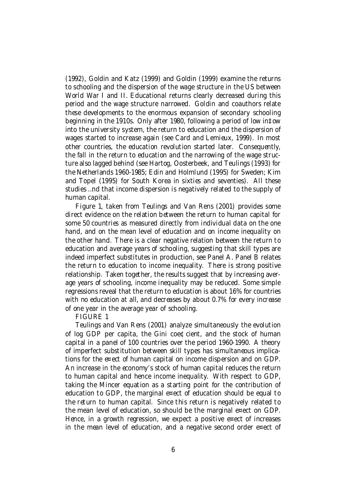(1992), Goldin and Katz (1999) and Goldin (1999) examine the returns to schooling and the dispersion of the wage structure in the US between World War I and II. Educational returns clearly decreased during this period and the wage structure narrowed. Goldin and coauthors relate these developments to the enormous expansion of secondary schooling beginning in the 1910s. Only after 1980, following a period of low in‡ow into the university system, the return to education and the dispersion of wages started to increase again (see Card and Lemieux, 1999). In most other countries, the education revolution started later. Consequently, the fall in the return to education and the narrowing of the wage structure also lagged behind (see Hartog, Oosterbeek, and Teulings (1993) for the Netherlands 1960-1985; Edin and Holmlund (1995) for Sweden; Kim and Topel (1995) for South Korea in sixties and seventies). All these studies …nd that income dispersion is negatively related to the supply of human capital.

Figure 1, taken from Teulings and Van Rens (2001) provides some direct evidence on the relation between the return to human capital for some 50 countries as measured directly from individual data on the one hand, and on the mean level of education and on income inequality on the other hand. There is a clear negative relation between the return to education and average years of schooling, suggesting that skill types are indeed imperfect substitutes in production, see Panel A. Panel B relates the return to education to income inequality. There is strong positive relationship. Taken together, the results suggest that by increasing average years of schooling, income inequality may be reduced. Some simple regressions reveal that the return to education is about 16% for countries with no education at all, and decreases by about 0.7% for every increase of one year in the average year of schooling.

FIGURE 1

Teulings and Van Rens (2001) analyze simultaneously the evolution of log GDP per capita, the Gini coe¢cient, and the stock of human capital in a panel of 100 countries over the period 1960-1990. A theory of imperfect substitution between skill types has simultaneous implications for the e¤ect of human capital on income dispersion and on GDP. An increase in the economy's stock of human capital reduces the return to human capital and hence income inequality. With respect to GDP, taking the Mincer equation as a starting point for the contribution of education to GDP, the marginal e¤ect of education should be equal to the return to human capital. Since this return is negatively related to the mean level of education, so should be the marginal e¤ect on GDP. Hence, in a growth regression, we expect a positive e¤ect of increases in the mean level of education, and a negative second order e¤ect of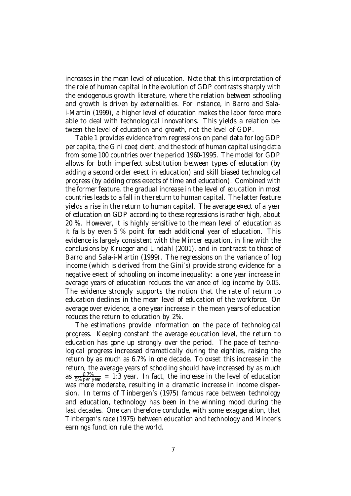increases in the mean level of education. Note that this interpretation of the role of human capital in the evolution of GDP contrasts sharply with the endogenous growth literature, where the relation between schooling and growth is driven by externalities. For instance, in Barro and Salai-Martin (1999), a higher level of education makes the labor force more able to deal with technological innovations. This yields a relation between the level of education and growth, not the level of GDP.

Table 1 provides evidence from regressions on panel data for log GDP per capita, the Gini coe¢cient, and the stock of human capital using data from some 100 countries over the period 1960-1995. The model for GDP allows for both imperfect substitution between types of education (by adding a second order e¤ect in education) and skill biased technological progress (by adding cross e¤ects of time and education). Combined with the former feature, the gradual increase in the level of education in most countries leads to a fall in the return to human capital. The latter feature yields a rise in the return to human capital. The average e¤ect of a year of education on GDP according to these regressions is rather high, about 20 %. However, it is highly sensitive to the mean level of education as it falls by even 5 % point for each additional year of education. This evidence is largely consistent with the Mincer equation, in line with the conclusions by Krueger and Lindahl (2001), and in contracst to those of Barro and Sala-i-Martin (1999). The regressions on the variance of log income (which is derived from the Gini's) provide strong evidence for a negative e¤ect of schooling on income inequality: a one year increase in average years of education reduces the variance of log income by 0.05. The evidence strongly supports the notion that the rate of return to education declines in the mean level of education of the workforce. On average over evidence, a one year increase in the mean years of education reduces the return to education by 2%.

The estimations provide information on the pace of technological progress. Keeping constant the average education level, the return to education has gone up strongly over the period. The pace of technological progress increased dramatically during the eighties, raising the return by as much as 6.7% in one decade. To o¤set this increase in the return, the average years of schooling should have increased by as much as  $\frac{6:7\%}{5\%$  per year = 1:3 year. In fact, the increase in the level of education was more moderate, resulting in a dramatic increase in income dispersion. In terms of Tinbergen's (1975) famous race between technology and education, technology has been in the winning mood during the last decades. One can therefore conclude, with some exaggeration, that Tinbergen's race (1975) between education and technology and Mincer's earnings function rule the world.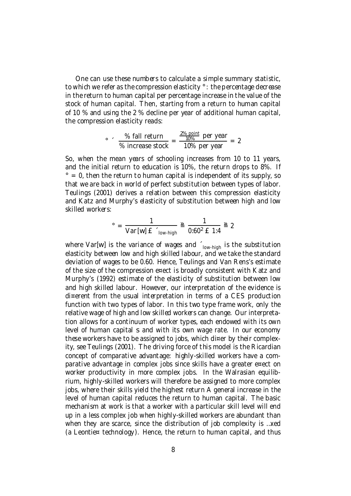One can use these numbers to calculate a simple summary statistic, to which we refer as the compression elasticity °: the percentage decrease in the return to human capital per percentage increase in the value of the stock of human capital. Then, starting from a return to human capital of 10 % and using the 2 % decline per year of additional human capital, the compression elasticity reads:

$$
\frac{\text{% fall return}}{\text{% increase stock}} = \frac{\frac{2\% \text{ point}}{10\%} \text{ per year}}{10\% \text{ per year}} = 2
$$

So, when the mean years of schooling increases from 10 to 11 years, and the initial return to education is 10%, the return drops to 8%. If  $\degree$  = 0, then the return to human capital is independent of its supply, so that we are back in world of perfect substitution between types of labor. Teulings (2001) derives a relation between this compression elasticity and Katz and Murphy's elasticity of substitution between high and low skilled workers:

$$
^{\circ} = \frac{1}{\text{Var}[w] \ \text{f} \ \dot{}} \text{Var}[w] \ \approx \frac{1}{0.60^2 \ \text{f} \ 1.4} \ \approx \ 2
$$

where Var[w] is the variance of wages and ´<sub>low-high</sub> is the substitution elasticity between low and high skilled labour, and we take the standard deviation of wages to be 0.60. Hence, Teulings and Van Rens's estimate of the size of the compression e¤ect is broadly consistent with Katz and Murphy's (1992) estimate of the elasticity of substitution between low and high skilled labour. However, our interpretation of the evidence is di¤erent from the usual interpretation in terms of a CES production function with two types of labor. In this two type frame work, only the relative wage of high and low skilled workers can change. Our interpretation allows for a continuum of worker types, each endowed with its own level of human capital s and with its own wage rate. In our economy these workers have to be assigned to jobs, which di¤er by their complexity, see Teulings (2001). The driving force of this model is the Ricardian concept of comparative advantage: highly-skilled workers have a comparative advantage in complex jobs since skills have a greater e¤ect on worker productivity in more complex jobs. In the Walrasian equilibrium, highly-skilled workers will therefore be assigned to more complex jobs, where their skills yield the highest return A general increase in the level of human capital reduces the return to human capital. The basic mechanism at work is that a worker with a particular skill level will end up in a less complex job when highly-skilled workers are abundant than when they are scarce, since the distribution of job complexity is …xed (a Leontie¤ technology). Hence, the return to human capital, and thus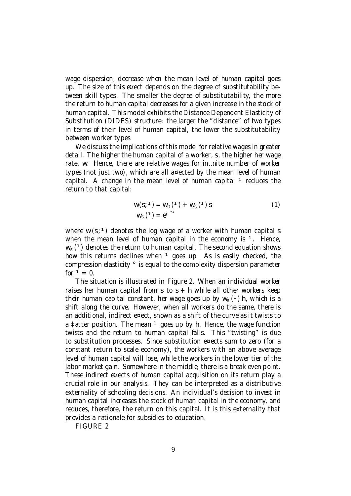wage dispersion, decrease when the mean level of human capital goes up. The size of this e¤ect depends on the degree of substitutability between skill types. The smaller the degree of substitutability, the more the return to human capital decreases for a given increase in the stock of human capital. This model exhibits the Distance Dependent Elasticity of Substitution (DIDES) structure: the larger the "distance" of two types in terms of their level of human capital, the lower the substitutability between worker types

We discuss the implications of this model for relative wages in greater detail. The higher the human capital of a worker, s, the higher her wage rate, w. Hence, there are relative wages for in…nite number of worker types (not just two), which are all a¤ected by the mean level of human capital. A change in the mean level of human capital  $1$  reduces the return to that capital:

$$
W(S; 1) = W_0(1) + W_s(1) S
$$
  
\n
$$
W_s(1) = e^{i^{t}1}
$$
 (1)

where  $w(s; 1)$  denotes the log wage of a worker with human capital s when the mean level of human capital in the economy is  $1$ . Hence,  $w<sub>s</sub>$  (1) denotes the return to human capital. The second equation shows how this returns declines when  $1$  goes up. As is easily checked, the compression elasticity ° is equal to the complexity dispersion parameter for  $1 = 0$ .

The situation is illustrated in Figure 2. When an individual worker raises her human capital from s to  $s + h$  while all other workers keep their human capital constant, her wage goes up by  $w_s(1)$  h, which is a shift along the curve. However, when all workers do the same, there is an additional, indirect e¤ect, shown as a shift of the curve as it twists to a  $\ddagger$  atter position. The mean  $\frac{1}{2}$  goes up by h. Hence, the wage function twists and the return to human capital falls. This "twisting" is due to substitution processes. Since substitution e¤ects sum to zero (for a constant return to scale economy), the workers with an above average level of human capital will lose, while the workers in the lower tier of the labor market gain. Somewhere in the middle, there is a break even point. These indirect e¤ects of human capital acquisition on its return play a crucial role in our analysis. They can be interpreted as a distributive externality of schooling decisions. An individual's decision to invest in human capital increases the stock of human capital in the economy, and reduces, therefore, the return on this capital. It is this externality that provides a rationale for subsidies to education.

FIGURE 2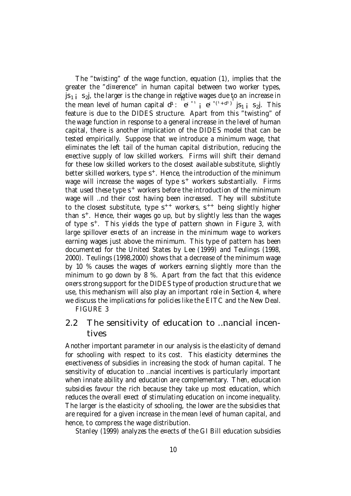The "twisting" of the wage function, equation (1), implies that the greater the "di¤erence" in human capital between two worker types, js<sub>1 i</sub> s<sub>2</sub>j, the larger is the change in relative wages due to an increase in the mean level of human capital  $d^1$ :  $e^{i e^{i} + i}$  i  $e^{i e^{i} + i}$  js<sub>1</sub> i s<sub>2</sub>. This feature is due to the DIDES structure. Apart from this "twisting" of the wage function in response to a general increase in the level of human capital, there is another implication of the DIDES model that can be tested empirically. Suppose that we introduce a minimum wage, that eliminates the left tail of the human capital distribution, reducing the e¤ective supply of low skilled workers. Firms will shift their demand for these low skilled workers to the closest available substitute, slightly better skilled workers, type s<sup>+</sup>. Hence, the introduction of the minimum wage will increase the wages of type s<sup>+</sup> workers substantially. Firms that used these type s<sup>+</sup> workers before the introduction of the minimum wage will …nd their cost having been increased. They will substitute to the closest substitute, type s<sup>++</sup> workers, s<sup>++</sup> being slightly higher than s<sup>+</sup>. Hence, their wages go up, but by slightly less than the wages of type s<sup>+</sup>. This yields the type of pattern shown in Figure 3, with large spillover e¤ects of an increase in the minimum wage to workers earning wages just above the minimum. This type of pattern has been documented for the United States by Lee (1999) and Teulings (1998, 2000). Teulings (1998,2000) shows that a decrease of the minimum wage by 10 % causes the wages of workers earning slightly more than the minimum to go down by 8 %. Apart from the fact that this evidence o¤ers strong support for the DIDES type of production structure that we use, this mechanism will also play an important role in Section 4, where we discuss the implications for policies like the EITC and the New Deal.

FIGURE 3

# 2.2 The sensitivity of education to …nancial incentives

Another important parameter in our analysis is the elasticity of demand for schooling with respect to its cost. This elasticity determines the e¤ectiveness of subsidies in increasing the stock of human capital. The sensitivity of education to …nancial incentives is particularly important when innate ability and education are complementary. Then, education subsidies favour the rich because they take up most education, which reduces the overall e¤ect of stimulating education on income inequality. The larger is the elasticity of schooling, the lower are the subsidies that are required for a given increase in the mean level of human capital, and hence, to compress the wage distribution.

Stanley (1999) analyzes the e¤ects of the GI Bill education subsidies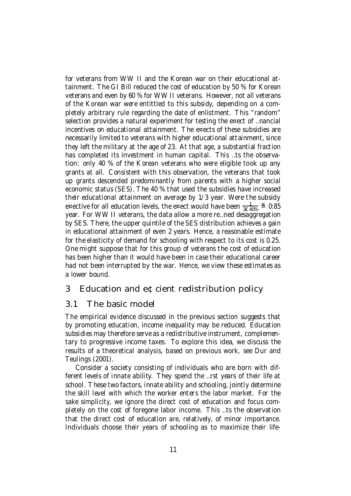for veterans from WW II and the Korean war on their educational attainment. The GI Bill reduced the cost of education by 50 % for Korean veterans and even by 60 % for WWII veterans. However, not all veterans of the Korean war were entittled to this subsidy, depending on a completely arbitrary rule regarding the date of enlistment. This "random" selection provides a natural experiment for testing the e¤ect of …nancial incentives on educational attainment. The e¤ects of these subsidies are necessarily limited to veterans with higher educational attainment, since they left the military at the age of 23. At that age, a substantial fraction has completed its investment in human capital. This …ts the observation: only 40 % of the Korean veterans who were eligible took up any grants at all. Consistent with this observation, the veterans that took up grants descended predominantly from parents with a higher social economic status (SES). The 40 % that used the subsidies have increased their educational attainment on average by 1/3 year. Were the subsidy e¤ective for all education levels, the e¤ect would have been  $\frac{1}{3\epsilon_A}$  $\frac{1}{3 \pm 40\%} \ge 0.85$ year. For WW II veterans, the data allow a more re…ned desaggregation by SES. There, the upper quintile of the SES distribution achieves a gain in educational attainment of even 2 years. Hence, a reasonable estimate for the elasticity of demand for schooling with respect to its cost is 0.25. One might suppose that for this group of veterans the cost of education has been higher than it would have been in case their educational career had not been interrupted by the war. Hence, we view these estimates as a lower bound.

# 3 Education and e¢cient redistribution policy

# 3.1 The basic model

The empirical evidence discussed in the previous section suggests that by promoting education, income inequality may be reduced. Education subsidies may therefore serve as a redistributive instrument, complementary to progressive income taxes. To explore this idea, we discuss the results of a theoretical analysis, based on previous work, see Dur and Teulings (2001).

Consider a society consisting of individuals who are born with different levels of innate ability. They spend the …rst years of their life at school. These two factors, innate ability and schooling, jointly determine the skill level with which the worker enters the labor market. For the sake simplicity, we ignore the direct cost of education and focus completely on the cost of foregone labor income. This …ts the observation that the direct cost of education are, relatively, of minor importance. Individuals choose their years of schooling as to maximize their life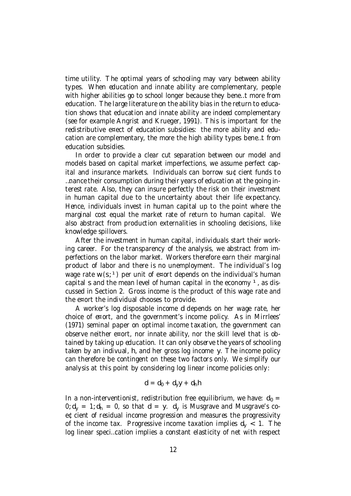time utility. The optimal years of schooling may vary between ability types. When education and innate ability are complementary, people with higher abilities go to school longer because they bene…t more from education. The large literature on the ability bias in the return to education shows that education and innate ability are indeed complementary (see for example Angrist and Krueger, 1991). This is important for the redistributive e¤ect of education subsidies: the more ability and education are complementary, the more the high ability types bene…t from education subsidies.

In order to provide a clear cut separation between our model and models based on capital market imperfections, we assume perfect capital and insurance markets. Individuals can borrow su¢cient funds to …nance their consumption during their years of education at the going interest rate. Also, they can insure perfectly the risk on their investment in human capital due to the uncertainty about their life expectancy. Hence, individuals invest in human capital up to the point where the marginal cost equal the market rate of return to human capital. We also abstract from production externalities in schooling decisions, like knowledge spillovers.

After the investment in human capital, individuals start their working career. For the transparency of the analysis, we abstract from imperfections on the labor market. Workers therefore earn their marginal product of labor and there is no unemployment. The individual's log wage rate w  $(s; 1)$  per unit of e¤ort depends on the individual's human capital s and the mean level of human capital in the economy  $<sup>1</sup>$ , as dis-</sup> cussed in Section 2. Gross income is the product of this wage rate and the e¤ort the individual chooses to provide.

A worker's log disposable income d depends on her wage rate, her choice of e¤ort, and the government's income policy. As in Mirrlees' (1971) seminal paper on optimal income taxation, the government can observe neither e¤ort, nor innate ability, nor the skill level that is obtained by taking up education. It can only observe the years of schooling taken by an indivual, h, and her gross log income y. The income policy can therefore be contingent on these two factors only. We simplify our analysis at this point by considering log linear income policies only:

$$
d = d_0 + d_y y + d_h h
$$

In a non-interventionist, redistribution free equilibrium, we have:  $d_0 =$ 0;  $d_y = 1$ ;  $d_h = 0$ , so that  $d = y$ .  $d_y$  is Musgrave and Musgrave's coe¢cient of residual income progression and measures the progressivity of the income tax. Progressive income taxation implies  $d_v < 1$ . The log linear speci…cation implies a constant elasticity of net with respect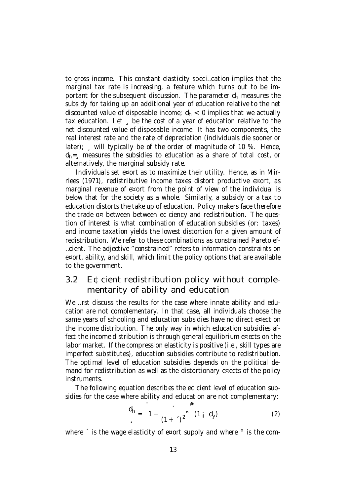to gross income. This constant elasticity speci…cation implies that the marginal tax rate is increasing, a feature which turns out to be important for the subsequent discussion. The parameter  $d_h$  measures the subsidy for taking up an additional year of education relative to the net discounted value of disposable income;  $d_h < 0$  implies that we actually tax education. Let ¸ be the cost of a year of education relative to the net discounted value of disposable income. It has two components, the real interest rate and the rate of depreciation (individuals die sooner or  $later)$ ; will typically be of the order of magnitude of 10 %. Hence,  $d_h =$  measures the subsidies to education as a share of total cost, or alternatively, the marginal subsidy rate.

Individuals set e¤ort as to maximize their utility. Hence, as in Mirrlees (1971), redistributive income taxes distort productive e¤ort, as marginal revenue of e¤ort from the point of view of the individual is below that for the society as a whole. Similarly, a subsidy or a tax to education distorts the take up of education. Policy makers face therefore the trade o¤ between between e¢ciency and redistribution. The question of interest is what combination of education subsidies (or: taxes) and income taxation yields the lowest distortion for a given amount of redistribution. We refer to these combinations as constrained Pareto ef- …cient. The adjective "constrained" refers to information constraints on e¤ort, ability, and skill, which limit the policy options that are available to the government.

# 3.2 E¢cient redistribution policy without complementarity of ability and education

We …rst discuss the results for the case where innate ability and education are not complementary. In that case, all individuals choose the same years of schooling and education subsidies have no direct e¤ect on the income distribution. The only way in which education subsidies affect the income distribution is through general equilibrium e¤ects on the labor market. If the compression elasticity is positive (i.e., skill types are imperfect substitutes), education subsidies contribute to redistribution. The optimal level of education subsidies depends on the political demand for redistribution as well as the distortionary e¤ects of the policy instruments.

The following equation describes the e¢cient level of education subsidies for the case where ability and education are not complementary:

$$
\frac{d_h}{d_1} = 1 + \frac{1}{(1 + 1)^2} \cdot \frac{1}{(1 + 1)^2}
$$
 (2)

where  $\leq$  is the wage elasticity of e¤ort supply and where  $\degree$  is the com-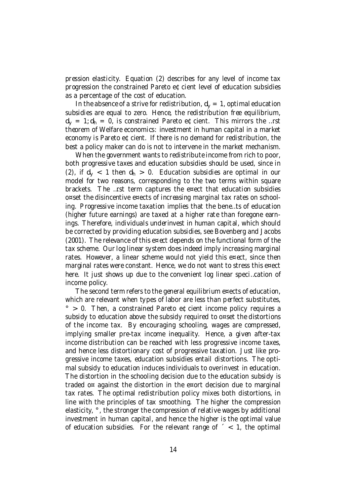pression elasticity. Equation (2) describes for any level of income tax progression the constrained Pareto e¢cient level of education subsidies as a percentage of the cost of education.

In the absence of a strive for redistribution,  $d_v = 1$ , optimal education subsidies are equal to zero. Hence, the redistribution free equilibrium,  $d_v = 1$ ;  $d_h = 0$ , is constrained Pareto e¢cient. This mirrors the ...rst theorem of Welfare economics: investment in human capital in a market economy is Pareto e¢cient. If there is no demand for redistribution, the best a policy maker can do is not to intervene in the market mechanism.

When the government wants to redistribute income from rich to poor, both progressive taxes and education subsidies should be used, since in (2), if  $d_v < 1$  then  $d_h > 0$ . Education subsidies are optimal in our model for two reasons, corresponding to the two terms within square brackets. The …rst term captures the e¤ect that education subsidies o¤set the disincentive e¤ects of increasing marginal tax rates on schooling. Progressive income taxation implies that the bene…ts of education (higher future earnings) are taxed at a higher rate than foregone earnings. Therefore, individuals underinvest in human capital, which should be corrected by providing education subsidies, see Bovenberg and Jacobs (2001). The relevance of this e¤ect depends on the functional form of the tax scheme. Our log linear system does indeed imply increasing marginal rates. However, a linear scheme would not yield this e¤ect, since then marginal rates were constant. Hence, we do not want to stress this e¤ect here. It just shows up due to the convenient log linear speci…cation of income policy.

The second term refers to the general equilibrium e¤ects of education, which are relevant when types of labor are less than perfect substitutes,  $\degree$  > 0. Then, a constrained Pareto e¢cient income policy requires a subsidy to education above the subsidy required to o¤set the distortions of the income tax. By encouraging schooling, wages are compressed, implying smaller pre-tax income inequality. Hence, a given after-tax income distribution can be reached with less progressive income taxes, and hence less distortionary cost of progressive taxation. Just like progressive income taxes, education subsidies entail distortions. The optimal subsidy to education induces individuals to overinvest in education. The distortion in the schooling decision due to the education subsidy is traded o¤ against the distortion in the e¤ort decision due to marginal tax rates. The optimal redistribution policy mixes both distortions, in line with the principles of tax smoothing. The higher the compression elasticity,  $\degree$ , the stronger the compression of relative wages by additional investment in human capital, and hence the higher is the optimal value of education subsidies. For the relevant range of  $\zeta$  < 1, the optimal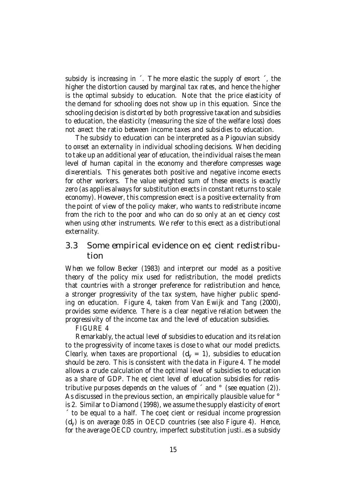subsidy is increasing in  $\tilde{ }$ . The more elastic the supply of e¤ort  $\tilde{ }$ , the higher the distortion caused by marginal tax rates, and hence the higher is the optimal subsidy to education. Note that the price elasticity of the demand for schooling does not show up in this equation. Since the schooling decision is distorted by both progressive taxation and subsidies to education, the elasticity (measuring the size of the welfare loss) does not a¤ect the ratio between income taxes and subsidies to education.

The subsidy to education can be interpreted as a Pigouvian subsidy to o¤set an externality in individual schooling decisions. When deciding to take up an additional year of education, the individual raises the mean level of human capital in the economy and therefore compresses wage di¤erentials. This generates both positive and negative income e¤ects for other workers. The value weighted sum of these e¤ects is exactly zero (as applies always for substitution e¤ects in constant returns to scale economy). However, this compression e¤ect is a positive externality from the point of view of the policy maker, who wants to redistribute income from the rich to the poor and who can do so only at an e¢ciency cost when using other instruments. We refer to this e¤ect as a distributional externality.

# 3.3 Some empirical evidence on e¢cient redistribution

When we follow Becker (1983) and interpret our model as a positive theory of the policy mix used for redistribution, the model predicts that countries with a stronger preference for redistribution and hence, a stronger progressivity of the tax system, have higher public spending on education. Figure 4, taken from Van Ewijk and Tang (2000), provides some evidence. There is a clear negative relation between the progressivity of the income tax and the level of education subsidies.

#### FIGURE 4

Remarkably, the actual level of subsidies to education and its relation to the progressivity of income taxes is close to what our model predicts. Clearly, when taxes are proportional  $(d_v = 1)$ , subsidies to education should be zero. This is consistent with the data in Figure 4. The model allows a crude calculation of the optimal level of subsidies to education as a share of GDP. The e¢cient level of education subsidies for redistributive purposes depends on the values of  $\epsilon$  and  $\epsilon$  (see equation (2)). As discussed in the previous section, an empirically plausible value for  $\degree$ is 2. Similar to Diamond (1998), we assume the supply elasticity of e¤ort ´ to be equal to a half. The coe¢cient or residual income progression  $(d_v)$  is on average 0:85 in OECD countries (see also Figure 4). Hence, for the average OECD country, imperfect substitution justi…es a subsidy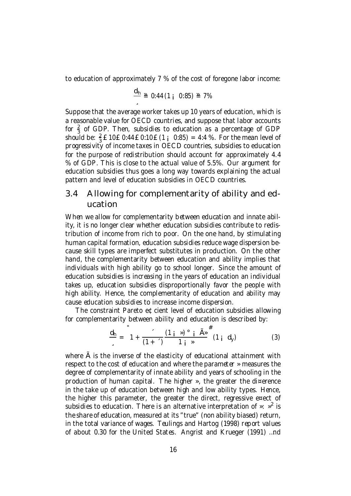to education of approximately 7 % of the cost of foregone labor income:

$$
\frac{d_h}{d_1} \ge 0.44 (1 \, \text{i} \, 0.85) \ge 7\%
$$

Suppose that the average worker takes up 10 years of education, which is a reasonable value for OECD countries, and suppose that labor accounts for  $\frac{2}{3}$  of GDP. Then, subsidies to education as a percentage of GDP should be:  $\frac{2}{3}$  £10£0:44 £0:10 £ (1  $\mu$  0:85) = 4:4 %. For the mean level of progressivity of income taxes in OECD countries, subsidies to education for the purpose of redistribution should account for approximately 4.4 % of GDP. This is close to the actual value of 5.5%. Our argument for education subsidies thus goes a long way towards explaining the actual pattern and level of education subsidies in OECD countries.

# 3.4 Allowing for complementarity of ability and education

When we allow for complementarity between education and innate ability, it is no longer clear whether education subsidies contribute to redistribution of income from rich to poor. On the one hand, by stimulating human capital formation, education subsidies reduce wage dispersion because skill types are imperfect substitutes in production. On the other hand, the complementarity between education and ability implies that individuals with high ability go to school longer. Since the amount of education subsidies is increasing in the years of education an individual takes up, education subsidies disproportionally favor the people with high ability. Hence, the complementarity of education and ability may cause education subsidies to increase income dispersion.

The constraint Pareto e¢cient level of education subsidies allowing for complementarity between ability and education is described by:

$$
\frac{d_h}{dt} = 1 + \frac{(1 + \tilde{\lambda})^{\circ} i \tilde{A}^{*}}{1 + \tilde{\lambda}} (1 + \tilde{\lambda}) \qquad (3)
$$

where Ã is the inverse of the elasticity of educational attainment with respect to the cost of education and where the parameter » measures the degree of complementarity of innate ability and years of schooling in the production of human capital. The higher », the greater the di¤erence in the take up of education between high and low ability types. Hence, the higher this parameter, the greater the direct, regressive e¤ect of subsidies to education. There is an alternative interpretation of »:  $\frac{1}{2}$  is the share of education, measured at its "true" (non ability biased) return, in the total variance of wages. Teulings and Hartog (1998) report values of about 0.30 for the United States. Angrist and Krueger (1991) …nd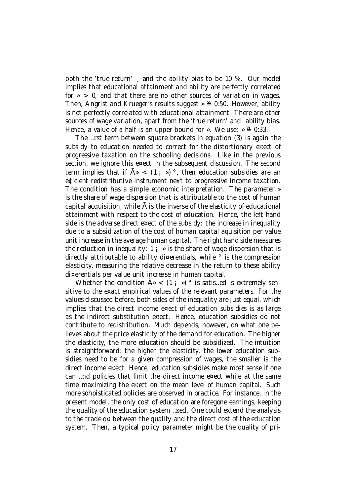both the 'true return', and the ability bias to be 10 %. Our model implies that educational attainment and ability are perfectly correlated for  $\infty$  > 0, and that there are no other sources of variation in wages. Then, Angrist and Krueger's results suggest  $\geq 0.50$ . However, ability is not perfectly correlated with educational attainment. There are other sources of wage variation, apart from the 'true return' and ability bias. Hence, a value of a half is an upper bound for ». We use:  $\ge 0.33$ .

The …rst term between square brackets in equation (3) is again the subsidy to education needed to correct for the distortionary e¤ect of progressive taxation on the schooling decisions. Like in the previous section, we ignore this e¤ect in the subsequent discussion. The second term implies that if  $\tilde{A}$  < (1; )  $^{\circ}$ , then education subsidies are an e¢cient redistributive instrument next to progressive income taxation. The condition has a simple economic interpretation. The parameter » is the share of wage dispersion that is attributable to the cost of human capital acquisition, while Ã is the inverse of the elasticity of educational attainment with respect to the cost of education. Hence, the left hand side is the adverse direct e¤ect of the subsidy: the increase in inequality due to a subsidization of the cost of human capital aquisition per value unit increase in the average human capital. The right hand side measures the reduction in inequality:  $1_i \times$  is the share of wage dispersion that is directly attributable to ability di¤erentials, while ° is the compression elasticity, measuring the relative decrease in the return to these ability di¤erentials per value unit increase in human capital.

Whether the condition  $\tilde{A}$   $\times$  (1;  $\omega$ )  $\circ$  is satis extremely sensitive to the exact empirical values of the relevant parameters. For the values discussed before, both sides of the inequality are just equal, which implies that the direct income e¤ect of education subsidies is as large as the indirect substitution e¤ect. Hence, education subsidies do not contribute to redistribution. Much depends, however, on what one believes about the price elasticity of the demand for education. The higher the elasticity, the more education should be subsidized. The intuition is straightforward: the higher the elasticity, the lower education subsidies need to be for a given compression of wages, the smaller is the direct income e¤ect. Hence, education subsidies make most sense if one can …nd policies that limit the direct income e¤ect while at the same time maximizing the e¤ect on the mean level of human capital. Such more sohpisticated policies are observed in practice. For instance, in the present model, the only cost of education are foregone earnings, keeping the quality of the education system …xed. One could extend the analysis to the trade o¤ between the quality and the direct cost of the education system. Then, a typical policy parameter might be the quality of pri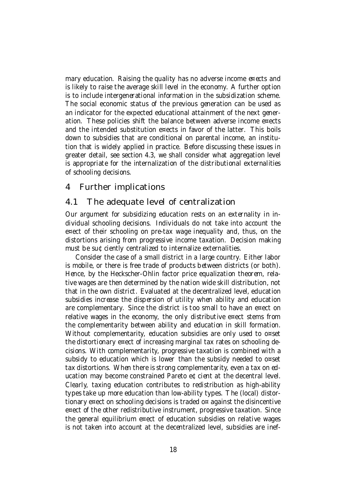mary education. Raising the quality has no adverse income e¤ects and is likely to raise the average skill level in the economy. A further option is to include intergenerational information in the subsidization scheme. The social economic status of the previous generation can be used as an indicator for the expected educational attainment of the next generation. These policies shift the balance between adverse income e¤ects and the intended substitution e¤ects in favor of the latter. This boils down to subsidies that are conditional on parental income, an institution that is widely applied in practice. Before discussing these issues in greater detail, see section 4.3, we shall consider what aggregation level is appropriate for the internalization of the distributional externalities of schooling decisions.

## 4 Further implications

#### 4.1 The adequate level of centralization

Our argument for subsidizing education rests on an externality in individual schooling decisions. Individuals do not take into account the e¤ect of their schooling on pre-tax wage inequality and, thus, on the distortions arising from progressive income taxation. Decision making must be su¢ciently centralized to internalize externalities.

Consider the case of a small district in a large country. Either labor is mobile, or there is free trade of products between districts (or both). Hence, by the Heckscher-Ohlin factor price equalization theorem, relative wages are then determined by the nation wide skill distribution, not that in the own district. Evaluated at the decentralized level, education subsidies increase the dispersion of utility when ability and education are complementary. Since the district is too small to have an e¤ect on relative wages in the economy, the only distributive e¤ect stems from the complementarity between ability and education in skill formation. Without complementarity, education subsidies are only used to o¤set the distortionary e¤ect of increasing marginal tax rates on schooling decisions. With complementarity, progressive taxation is combined with a subsidy to education which is lower than the subsidy needed to o¤set tax distortions. When there is strong complementarity, even a tax on education may become constrained Pareto e¢cient at the decentral level. Clearly, taxing education contributes to redistribution as high-ability types take up more education than low-ability types. The (local) distortionary e¤ect on schooling decisions is traded  $o<sup>π</sup>$  against the disincentive e¤ect of the other redistributive instrument, progressive taxation. Since the general equilibrium e¤ect of education subsidies on relative wages is not taken into account at the decentralized level, subsidies are inef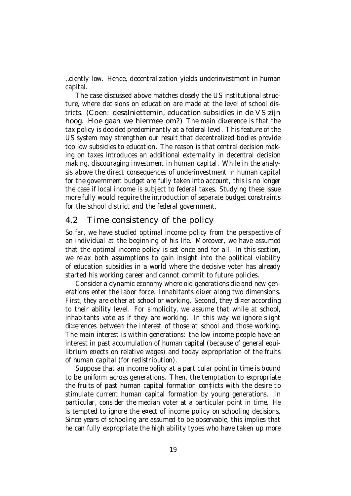…ciently low. Hence, decentralization yields underinvestment in human capital.

The case discussed above matches closely the US institutional structure, where decisions on education are made at the level of school districts. (Coen: desalniettemin, education subsidies in de VS zijn hoog. Hoe gaan we hiermee om?) The main di¤erence is that the tax policy is decided predominantly at a federal level. This feature of the US system may strengthen our result that decentralized bodies provide too low subsidies to education. The reason is that central decision making on taxes introduces an additional externality in decentral decision making, discouraging investment in human capital. While in the analysis above the direct consequences of underinvestment in human capital for the government budget are fully taken into account, this is no longer the case if local income is subject to federal taxes. Studying these issue more fully would require the introduction of separate budget constraints for the school district and the federal government.

## 4.2 Time consistency of the policy

So far, we have studied optimal income policy from the perspective of an individual at the beginning of his life. Moreover, we have assumed that the optimal income policy is set once and for all. In this section, we relax both assumptions to gain insight into the political viability of education subsidies in a world where the decisive voter has already started his working career and cannot commit to future policies.

Consider a dynamic economy where old generations die and new generations enter the labor force. Inhabitants di¤er along two dimensions. First, they are either at school or working. Second, they di¤er according to their ability level. For simplicity, we assume that while at school, inhabitants vote as if they are working. In this way we ignore slight di¤erences between the interest of those at school and those working. The main interest is within generations: the low income people have an interest in past accumulation of human capital (because of general equilibrium e¤ects on relative wages) and today expropriation of the fruits of human capital (for redistribution).

Suppose that an income policy at a particular point in time is bound to be uniform across generations. Then, the temptation to expropriate the fruits of past human capital formation con‡icts with the desire to stimulate current human capital formation by young generations. In particular, consider the median voter at a particular point in time. He is tempted to ignore the e¤ect of income policy on schooling decisions. Since years of schooling are assumed to be observable, this implies that he can fully expropriate the high ability types who have taken up more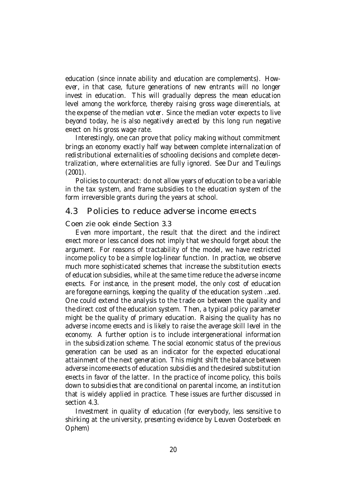education (since innate ability and education are complements). However, in that case, future generations of new entrants will no longer invest in education. This will gradually depress the mean education level among the workforce, thereby raising gross wage di¤erentials, at the expense of the median voter. Since the median voter expects to live beyond today, he is also negatively a¤ected by this long run negative e¤ect on his gross wage rate.

Interestingly, one can prove that policy making without commitment brings an economy exactly half way between complete internalization of redistributional externalities of schooling decisions and complete decentralization, where externalities are fully ignored. See Dur and Teulings (2001).

Policies to counteract: do not allow years of education to be a variable in the tax system, and frame subsidies to the education system of the form irreversible grants during the years at school.

## 4.3 Policies to reduce adverse income e¤ects

Coen zie ook einde Section 3.3

Even more important, the result that the direct and the indirect e¤ect more or less cancel does not imply that we should forget about the argument. For reasons of tractability of the model, we have restricted income policy to be a simple log-linear function. In practice, we observe much more sophisticated schemes that increase the substitution e¤ects of education subsidies, while at the same time reduce the adverse income e¤ects. For instance, in the present model, the only cost of education are foregone earnings, keeping the quality of the education system …xed. One could extend the analysis to the trade  $o<sup>\alpha</sup>$  between the quality and the direct cost of the education system. Then, a typical policy parameter might be the quality of primary education. Raising the quality has no adverse income e¤ects and is likely to raise the average skill level in the economy. A further option is to include intergenerational information in the subsidization scheme. The social economic status of the previous generation can be used as an indicator for the expected educational attainment of the next generation. This might shift the balance between adverse income e¤ects of education subsidies and the desired substitution e¤ects in favor of the latter. In the practice of income policy, this boils down to subsidies that are conditional on parental income, an institution that is widely applied in practice. These issues are further discussed in section 4.3.

Investment in quality of education (for everybody, less sensitive to shirking at the university, presenting evidence by Leuven Oosterbeek en Ophem)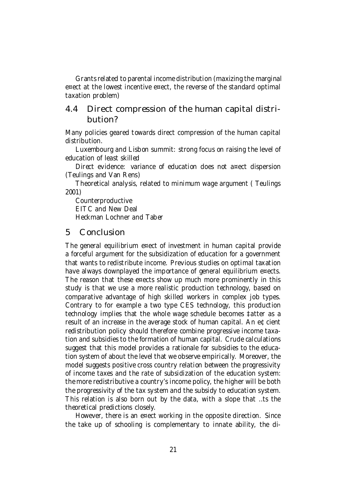Grantsrelated to parental income distribution (maxizing the marginal e¤ect at the lowest incentive e¤ect, the reverse of the standard optimal taxation problem)

# 4.4 Direct compression of the human capital distribution?

Many policies geared towards direct compression of the human capital distribution.

Luxembourg and Lisbon summit: strong focus on raising the level of education of least skilled

Direct evidence: variance of education does not a¤ect dispersion (Teulings and Van Rens)

Theoretical analysis, related to minimum wage argument ( Teulings 2001)

Counterproductive EITC and New Deal Heckman Lochner and Taber

# 5 Conclusion

The general equilibrium e¤ect of investment in human capital provide a forceful argument for the subsidization of education for a government that wants to redistribute income. Previous studies on optimal taxation have always downplayed the importance of general equilibrium e¤ects. The reason that these e¤ects show up much more prominently in this study is that we use a more realistic production technology, based on comparative advantage of high skilled workers in complex job types. Contrary to for example a two type CES technology, this production technology implies that the whole wage schedule becomes ‡atter as a result of an increase in the average stock of human capital. An e¢cient redistribution policy should therefore combine progressive income taxation and subsidies to the formation of human capital. Crude calculations suggest that this model provides a rationale for subsidies to the education system of about the level that we observe empirically. Moreover, the model suggests positive cross country relation between the progressivity of income taxes and the rate of subsidization of the education system: the more redistributive a country's income policy, the higher will be both the progressivity of the tax system and the subsidy to education system. This relation is also born out by the data, with a slope that …ts the theoretical predictions closely.

However, there is an e¤ect working in the opposite direction. Since the take up of schooling is complementary to innate ability, the di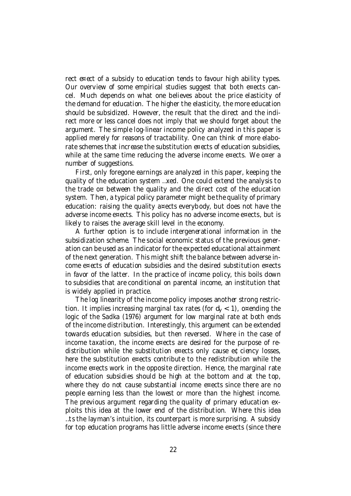rect e¤ect of a subsidy to education tends to favour high ability types. Our overview of some empirical studies suggest that both e¤ects cancel. Much depends on what one believes about the price elasticity of the demand for education. The higher the elasticity, the more education should be subsidized. However, the result that the direct and the indirect more or less cancel does not imply that we should forget about the argument. The simple log-linear income policy analyzed in this paper is applied merely for reasons of tractability. One can think of more elaborate schemes that increase the substitution e¤ects of education subsidies, while at the same time reducing the adverse income e¤ects. We o¤er a number of suggestions.

First, only foregone earnings are analyzed in this paper, keeping the quality of the education system …xed. One could extend the analysis to the trade o¤ between the quality and the direct cost of the education system. Then, a typical policy parameter might be the quality of primary education: raising the quality a¤ects everybody, but does not have the adverse income e¤ects. This policy has no adverse income e¤ects, but is likely to raises the average skill level in the economy.

A further option is to include intergenerational information in the subsidization scheme. The social economic status of the previous generation can be used as an indicator for the expected educational attainment of the next generation. This might shift the balance between adverse income e¤ects of education subsidies and the desired substitution e¤ects in favor of the latter. In the practice of income policy, this boils down to subsidies that are conditional on parental income, an institution that is widely applied in practice.

The log linearity of the income policy imposes another strong restriction. It implies increasing marginal tax rates (for  $d_v < 1$ ), o¤ending the logic of the Sadka (1976) argument for low marginal rate at both ends of the income distribution. Interestingly, this argument can be extended towards education subsidies, but then reversed. Where in the case of income taxation, the income e¤ects are desired for the purpose of redistribution while the substitution e¤ects only cause e¢ciency losses, here the substitution e¤ects contribute to the redistribution while the income e¤ects work in the opposite direction. Hence, the marginal rate of education subsidies should be high at the bottom and at the top, where they do not cause substantial income e¤ects since there are no people earning less than the lowest or more than the highest income. The previous argument regarding the quality of primary education exploits this idea at the lower end of the distribution. Where this idea …ts the layman's intuition, its counterpart is more surprising. A subsidy for top education programs has little adverse income e¤ects (since there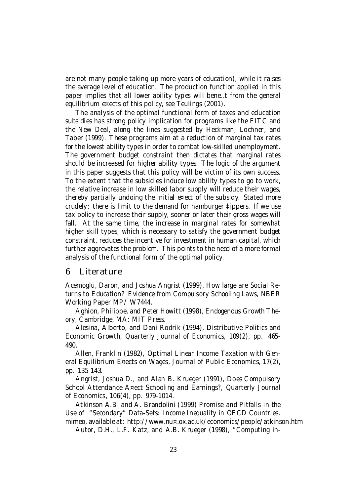are not many people taking up more years of education), while it raises the average level of education. The production function applied in this paper implies that all lower ability types will bene…t from the general equilibrium e¤ects of this policy, see Teulings (2001).

The analysis of the optimal functional form of taxes and education subsidies has strong policy implication for programs like the EITC and the New Deal, along the lines suggested by Heckman, Lochner, and Taber (1999). These programs aim at a reduction of marginal tax rates for the lowest ability types in order to combat low-skilled unemployment. The government budget constraint then dictates that marginal rates should be increased for higher ability types. The logic of the argument in this paper suggests that this policy will be victim of its own success. To the extent that the subsidies induce low ability types to go to work, the relative increase in low skilled labor supply will reduce their wages, thereby partially undoing the initial e¤ect of the subsidy. Stated more crudely: there is limit to the demand for hamburger ‡ippers. If we use tax policy to increase their supply, sooner or later their gross wages will fall. At the same time, the increase in marginal rates for somewhat higher skill types, which is necessary to satisfy the government budget constraint, reduces the incentive for investment in human capital, which further aggrevates the problem. This points to the need of a more formal analysis of the functional form of the optimal policy.

#### 6 Literature

Acemoglu, Daron, and Joshua Angrist (1999), How large are Social Returns to Education? Evidence from Compulsory Schooling Laws, NBER Working Paper MP/ W7444.

Aghion, Philippe, and Peter Howitt (1998), Endogenous Growth Theory, Cambridge, MA: MIT Press.

Alesina, Alberto, and Dani Rodrik (1994), Distributive Politics and Economic Growth, Quarterly Journal of Economics, 109(2), pp. 465- 490.

Allen, Franklin (1982), Optimal Linear Income Taxation with General Equilibrium E¤ects on Wages, Journal of Public Economics, 17(2), pp. 135-143.

Angrist, Joshua D., and Alan B. Krueger (1991), Does Compulsory School Attendance A¤ect Schooling and Earnings?, Quarterly Journal of Economics, 106(4), pp. 979-1014.

Atkinson A.B. and A. Brandolini (1999) Promise and Pitfalls in the Use of "Secondary" Data-Sets: Income Inequality in OECD Countries. mimeo, available at: http://www.nu¤.ox.ac.uk/economics/people/atkinson.htm

Autor, D.H., L.F. Katz, and A.B. Krueger (1998), "Computing in-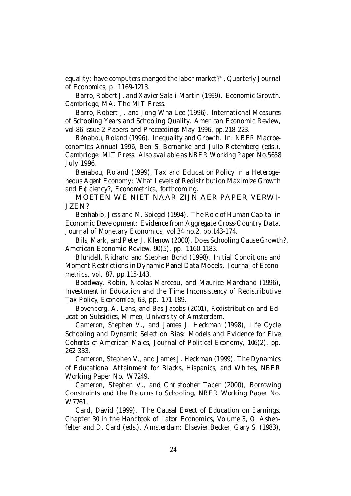equality: have computers changed the labor market?", Quarterly Journal of Economics, p. 1169-1213.

Barro, Robert J. and Xavier Sala-i-Martin (1999). Economic Growth. Cambridge, MA: The MIT Press.

Barro, Robert J. and Jong Wha Lee (1996). International Measures of Schooling Years and Schooling Quality. American Economic Review, vol.86 issue 2 Papers and Proceedings May 1996, pp.218-223.

Bénabou, Roland (1996). Inequality and Growth. In: NBER Macroeconomics Annual 1996, Ben S. Bernanke and Julio Rotemberg (eds.). Cambridge: MIT Press. Also available as NBER Working Paper No.5658 July 1996.

Benabou, Roland (1999), Tax and Education Policy in a Heterogeneous Agent Economy: What Levels of Redistribution Maximize Growth and E¢ciency?, Econometrica, forthcoming.

MOETEN WE NIET NAAR ZIJN AER PAPER VERWI-JZEN?

Benhabib, Jess and M. Spiegel (1994). The Role of Human Capital in Economic Development: Evidence from Aggregate Cross-Country Data. Journal of Monetary Economics, vol.34 no.2, pp.143-174.

Bils, Mark, and Peter J. Klenow (2000), Does Schooling Cause Growth?, American Economic Review, 90(5), pp. 1160-1183.

Blundell, Richard and Stephen Bond (1998). Initial Conditions and Moment Restrictions in Dynamic Panel Data Models. Journal of Econometrics, vol. 87, pp.115-143.

Boadway, Robin, Nicolas Marceau, and Maurice Marchand (1996), Investment in Education and the Time Inconsistency of Redistributive Tax Policy, Economica, 63, pp. 171-189.

Bovenberg, A. Lans, and Bas Jacobs (2001), Redistribution and Education Subsidies, Mimeo, University of Amsterdam.

Cameron, Stephen V., and James J. Heckman (1998), Life Cycle Schooling and Dynamic Selection Bias: Models and Evidence for Five Cohorts of American Males, Journal of Political Economy, 106(2), pp. 262-333.

Cameron, Stephen V., and James J. Heckman (1999), The Dynamics of Educational Attainment for Blacks, Hispanics, and Whites, NBER Working Paper No. W7249.

Cameron, Stephen V., and Christopher Taber (2000), Borrowing Constraints and the Returns to Schooling, NBER Working Paper No. W7761.

Card, David (1999). The Causal E¤ect of Education on Earnings. Chapter 30 in the Handbook of Labor Economics, Volume 3, O. Ashenfelter and D. Card (eds.). Amsterdam: Elsevier.Becker, Gary S. (1983),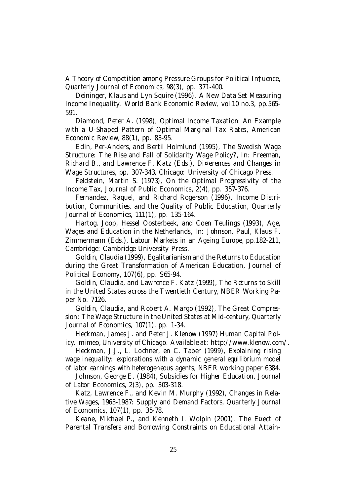A Theory of Competition among Pressure Groups for Political In‡uence, Quarterly Journal of Economics, 98(3), pp. 371-400.

Deininger, Klaus and Lyn Squire (1996). A New Data Set Measuring Income Inequality. World Bank Economic Review, vol.10 no.3, pp.565- 591.

Diamond, Peter A. (1998), Optimal Income Taxation: An Example with a U-Shaped Pattern of Optimal Marginal Tax Rates, American Economic Review, 88(1), pp. 83-95.

Edin, Per-Anders, and Bertil Holmlund (1995), The Swedish Wage Structure: The Rise and Fall of Solidarity Wage Policy?, In: Freeman, Richard B., and Lawrence F. Katz (Eds.), Di¤erences and Changes in Wage Structures, pp. 307-343, Chicago: University of Chicago Press.

Feldstein, Martin S. (1973), On the Optimal Progressivity of the Income Tax, Journal of Public Economics, 2(4), pp. 357-376.

Fernandez, Raquel, and Richard Rogerson (1996), Income Distribution, Communities, and the Quality of Public Education, Quarterly Journal of Economics, 111(1), pp. 135-164.

Hartog, Joop, Hessel Oosterbeek, and Coen Teulings (1993), Age, Wages and Education in the Netherlands, In: Johnson, Paul, Klaus F. Zimmermann (Eds.), Labour Markets in an Ageing Europe, pp.182-211, Cambridge: Cambridge University Press.

Goldin, Claudia (1999), Egalitarianism and the Returns to Education during the Great Transformation of American Education, Journal of Political Economy, 107(6), pp. S65-94.

Goldin, Claudia, and Lawrence F. Katz (1999), The Returns to Skill in the United States across the Twentieth Century, NBER Working Paper No. 7126.

Goldin, Claudia, and Robert A. Margo (1992), The Great Compression: The Wage Structure in the United States at Mid-century, Quarterly Journal of Economics, 107(1), pp. 1-34.

Heckman, James J. and Peter J. Klenow (1997) Human Capital Policy. mimeo, University of Chicago. Available at: http://www.klenow.com/.

Heckman, J.J., L. Lochner, en C. Taber (1999), Explaining rising wage inequality: explorations with a dynamic general equilibrium model of labor earnings with heterogeneous agents, NBER working paper 6384.

Johnson, George E. (1984), Subsidies for Higher Education, Journal of Labor Economics, 2(3), pp. 303-318.

Katz, Lawrence F., and Kevin M. Murphy (1992), Changes in Relative Wages, 1963-1987: Supply and Demand Factors, Quarterly Journal of Economics, 107(1), pp. 35-78.

Keane, Michael P., and Kenneth I. Wolpin (2001), The E¤ect of Parental Transfers and Borrowing Constraints on Educational Attain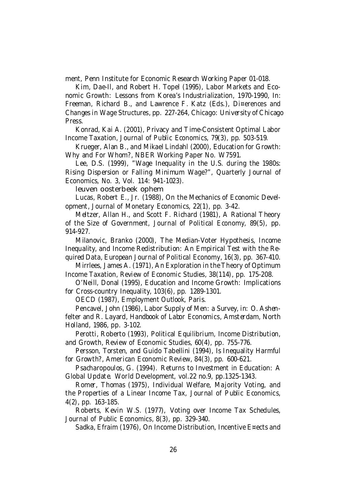ment, Penn Institute for Economic Research Working Paper 01-018.

Kim, Dae-Il, and Robert H. Topel (1995), Labor Markets and Economic Growth: Lessons from Korea's Industrialization, 1970-1990, In: Freeman, Richard B., and Lawrence F. Katz (Eds.), Di¤erences and Changes in Wage Structures, pp. 227-264, Chicago: University of Chicago Press.

Konrad, Kai A. (2001), Privacy and Time-Consistent Optimal Labor Income Taxation, Journal of Public Economics, 79(3), pp. 503-519.

Krueger, Alan B., and Mikael Lindahl (2000), Education for Growth: Why and For Whom?, NBER Working Paper No. W7591.

Lee, D.S. (1999), "Wage Inequality in the U.S. during the 1980s: Rising Dispersion or Falling Minimum Wage?", Quarterly Journal of Economics, No. 3, Vol. 114: 941-1023).

leuven oosterbeek ophem

Lucas, Robert E., Jr. (1988), On the Mechanics of Economic Development, Journal of Monetary Economics, 22(1), pp. 3-42.

Meltzer, Allan H., and Scott F. Richard (1981), A Rational Theory of the Size of Government, Journal of Political Economy, 89(5), pp. 914-927.

Milanovic, Branko (2000), The Median-Voter Hypothesis, Income Inequality, and Income Redistribution: An Empirical Test with the Required Data, European Journal of Political Economy, 16(3), pp. 367-410.

Mirrlees, James A. (1971), An Exploration in the Theory of Optimum Income Taxation, Review of Economic Studies, 38(114), pp. 175-208.

O'Neill, Donal (1995), Education and Income Growth: Implications for Cross-country Inequality, 103(6), pp. 1289-1301.

OECD (1987), Employment Outlook, Paris.

Pencavel, John (1986), Labor Supply of Men: a Survey, in: O. Ashenfelter and R. Layard, Handbook of Labor Economics, Amsterdam, North Holland, 1986, pp. 3-102.

Perotti, Roberto (1993), Political Equilibrium, Income Distribution, and Growth, Review of Economic Studies, 60(4), pp. 755-776.

Persson, Torsten, and Guido Tabellini (1994), Is Inequality Harmful for Growth?, American Economic Review, 84(3), pp. 600-621.

Psacharopoulos, G. (1994). Returns to Investment in Education: A Global Update. World Development, vol.22 no.9, pp.1325-1343.

Romer, Thomas (1975), Individual Welfare, Majority Voting, and the Properties of a Linear Income Tax, Journal of Public Economics, 4(2), pp. 163-185.

Roberts, Kevin W.S. (1977), Voting over Income Tax Schedules, Journal of Public Economics, 8(3), pp. 329-340.

Sadka, Efraim (1976), On Income Distribution, Incentive E¤ects and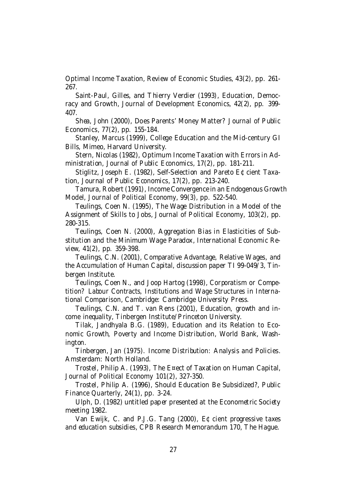Optimal Income Taxation, Review of Economic Studies, 43(2), pp. 261- 267.

Saint-Paul, Gilles, and Thierry Verdier (1993), Education, Democracy and Growth, Journal of Development Economics, 42(2), pp. 399- 407.

Shea, John (2000), Does Parents' Money Matter? Journal of Public Economics, 77(2), pp. 155-184.

Stanley, Marcus (1999), College Education and the Mid-century GI Bills, Mimeo, Harvard University.

Stern, Nicolas (1982), Optimum Income Taxation with Errors in Administration, Journal of Public Economics, 17(2), pp. 181-211.

Stiglitz, Joseph E. (1982), Self-Selection and Pareto E¢cient Taxation, Journal of Public Economics, 17(2), pp. 213-240.

Tamura, Robert(1991), Income Convergence in an Endogenous Growth Model, Journal of Political Economy, 99(3), pp. 522-540.

Teulings, Coen N. (1995), The Wage Distribution in a Model of the Assignment of Skills to Jobs, Journal of Political Economy, 103(2), pp. 280-315.

Teulings, Coen N. (2000), Aggregation Bias in Elasticities of Substitution and the Minimum Wage Paradox, International Economic Review, 41(2), pp. 359-398.

Teulings, C.N. (2001), Comparative Advantage, Relative Wages, and the Accumulation of Human Capital, discussion paper TI 99-049/3, Tinbergen Institute.

Teulings, Coen N., and Joop Hartog (1998), Corporatism or Competition? Labour Contracts, Institutions and Wage Structures in International Comparison, Cambridge: Cambridge University Press.

Teulings, C.N. and T. van Rens (2001), Education, growth and income inequality, Tinbergen Institute/Princeton University.

Tilak, Jandhyala B.G. (1989), Education and its Relation to Economic Growth, Poverty and Income Distribution, World Bank, Washington.

Tinbergen, Jan (1975). Income Distribution: Analysis and Policies. Amsterdam: North Holland.

Trostel, Philip A. (1993), The E¤ect of Taxation on Human Capital, Journal of Political Economy 101(2), 327-350.

Trostel, Philip A. (1996), Should Education Be Subsidized?, Public Finance Quarterly, 24(1), pp. 3-24.

Ulph, D. (1982) untitled paper presented at the Econometric Society meeting 1982.

Van Ewijk, C. and P.J.G. Tang (2000), E¢cient progressive taxes and education subsidies, CPB Research Memorandum 170, The Hague.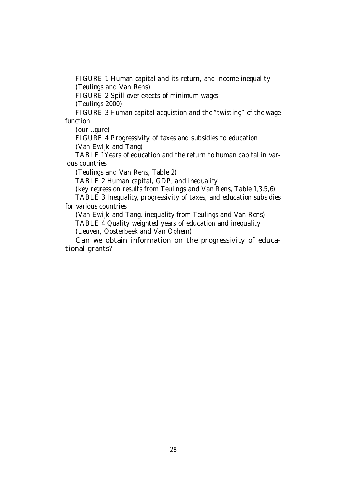FIGURE 1 Human capital and its return, and income inequality (Teulings and Van Rens)

FIGURE 2 Spill over e¤ects of minimum wages

(Teulings 2000)

FIGURE 3 Human capital acquistion and the "twisting" of the wage function

(our …gure)

FIGURE 4 Progressivity of taxes and subsidies to education

(Van Ewijk and Tang)

TABLE 1Years of education and the return to human capital in various countries

(Teulings and Van Rens, Table 2)

TABLE 2 Human capital, GDP, and inequality

(key regression results from Teulings and Van Rens, Table 1,3,5,6)

TABLE 3 Inequality, progressivity of taxes, and education subsidies for various countries

(Van Ewijk and Tang, inequality from Teulings and Van Rens) TABLE 4 Quality weighted years of education and inequality (Leuven, Oosterbeek and Van Ophem)

Can we obtain information on the progressivity of educational grants?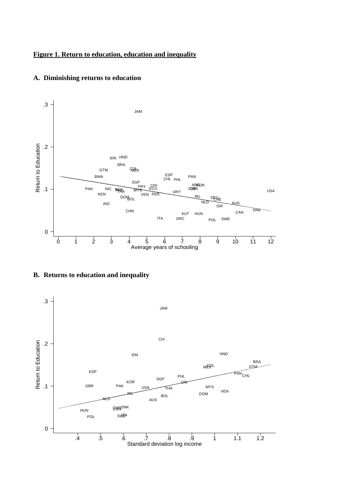# **Figure 1. Return to education, education and inequality**



#### **A. Diminishing returns to education**

**B. Returns to education and inequality** 

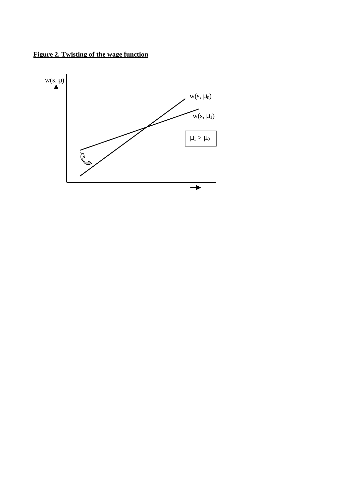**Figure 2. Twisting of the wage function**

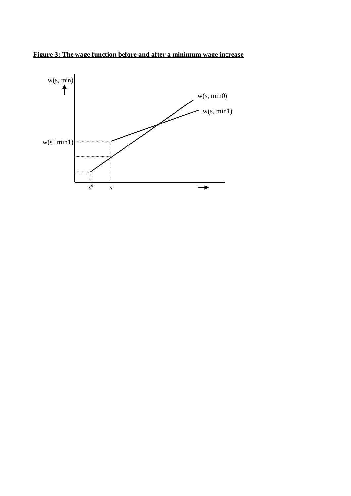**Figure 3: The wage function before and after a minimum wage increase**

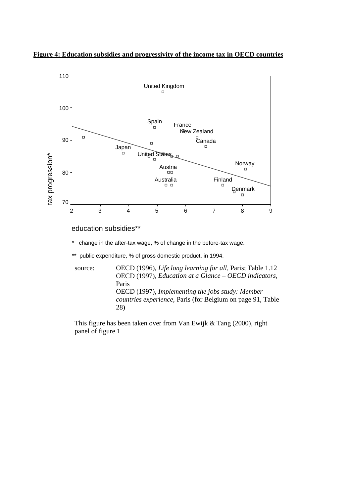**Figure 4: Education subsidies and progressivity of the income tax in OECD countries**



#### education subsidies\*\*

\* change in the after-tax wage, % of change in the before-tax wage.

\*\* public expenditure, % of gross domestic product, in 1994.

 source: OECD (1996), *Life long learning for all,* Paris; Table 1.12 OECD (1997), *Education at a Glance – OECD indicators,*  Paris OECD (1997), *Implementing the jobs study: Member countries experience,* Paris (for Belgium on page 91, Table 28)

This figure has been taken over from Van Ewijk & Tang (2000), right panel of figure 1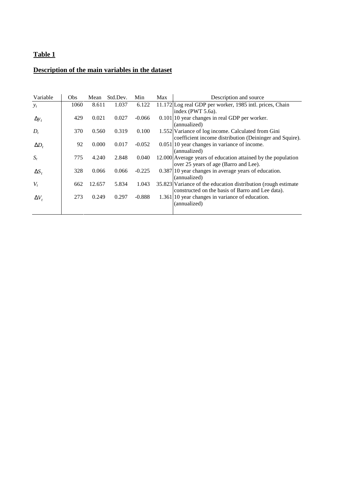# **Table 1**

# **Description of the main variables in the dataset**

| Variable     | Obs  | Mean   | Std.Dev. | Min      | Max | Description and source                                                                                             |
|--------------|------|--------|----------|----------|-----|--------------------------------------------------------------------------------------------------------------------|
| $y_t$        | 1060 | 8.611  | 1.037    | 6.122    |     | 11.172 Log real GDP per worker, 1985 intl. prices, Chain                                                           |
|              |      |        |          |          |     | index (PWT 5.6a).                                                                                                  |
| $\Delta y_t$ | 429  | 0.021  | 0.027    | $-0.066$ |     | 0.101 10 year changes in real GDP per worker.<br>(annualized)                                                      |
| $D_t$        | 370  | 0.560  | 0.319    | 0.100    |     | 1.552 Variance of log income. Calculated from Gini                                                                 |
|              |      |        |          |          |     | coefficient income distribution (Deininger and Squire).                                                            |
| $\Delta D_t$ | 92   | 0.000  | 0.017    | $-0.052$ |     | $0.051 10$ year changes in variance of income.                                                                     |
|              |      |        |          |          |     | (annualized)                                                                                                       |
| $S_t$        | 775  | 4.240  | 2.848    | 0.040    |     | 12.000 Average years of education attained by the population                                                       |
|              |      |        |          |          |     | over 25 years of age (Barro and Lee).                                                                              |
| $\Delta S_t$ | 328  | 0.066  | 0.066    | $-0.225$ |     | 0.387 10 year changes in average years of education.                                                               |
|              |      |        |          |          |     | (annualized)                                                                                                       |
| $V_{t}$      | 662  | 12.657 | 5.834    | 1.043    |     | 35.823 Variance of the education distribution (rough estimate)<br>constructed on the basis of Barro and Lee data). |
| $\Delta V_t$ | 273  | 0.249  | 0.297    | $-0.888$ |     | 1.361 10 year changes in variance of education.                                                                    |
|              |      |        |          |          |     | (annualized)                                                                                                       |
|              |      |        |          |          |     |                                                                                                                    |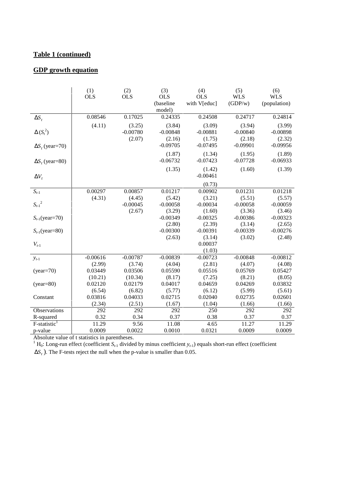# **Table 1 (continued)**

# **GDP growth equation**

|                             | (1)<br><b>OLS</b> | (2)<br><b>OLS</b>              | (3)<br><b>OLS</b><br>(baseline<br>model) | (4)<br><b>OLS</b><br>with V[educ] | (5)<br><b>WLS</b><br>(GDP/w)   | (6)<br><b>WLS</b><br>(population) |
|-----------------------------|-------------------|--------------------------------|------------------------------------------|-----------------------------------|--------------------------------|-----------------------------------|
| $\Delta S_t$                | 0.08546           | 0.17025                        | 0.24335                                  | 0.24508                           | 0.24717                        | 0.24814                           |
| $\Delta(S_t^2)$             | (4.11)            | (3.25)<br>$-0.00780$<br>(2.07) | (3.84)<br>$-0.00848$<br>(2.16)           | (3.09)<br>$-0.00881$<br>(1.75)    | (3.94)<br>$-0.00840$<br>(2.18) | (3.99)<br>$-0.00898$<br>(2.32)    |
| $\Delta S_t$ (year=70)      |                   |                                | $-0.09705$                               | $-0.07495$                        | $-0.09901$                     | $-0.09956$                        |
| $\Delta S_t$ (year=80)      |                   |                                | (1.87)<br>$-0.06732$                     | (1.34)<br>$-0.07423$              | (1.95)<br>$-0.07728$           | (1.89)<br>$-0.06933$              |
| $\Delta V_t$                |                   |                                | (1.35)                                   | (1.42)<br>$-0.00461$              | (1.60)                         | (1.39)                            |
|                             |                   |                                |                                          | (0.73)                            |                                |                                   |
| $S_{t-1}$                   | 0.00297           | 0.00857                        | 0.01217                                  | 0.00902                           | 0.01231                        | 0.01218                           |
| $S_{t-1}^2$                 | (4.31)            | (4.45)<br>$-0.00045$           | (5.42)<br>$-0.00058$                     | (3.21)<br>$-0.00034$              | (5.51)<br>$-0.00058$           | (5.57)<br>$-0.00059$              |
| $S_{t-1}$ (year=70)         |                   | (2.67)                         | (3.29)<br>$-0.00349$                     | (1.60)<br>$-0.00325$              | (3.36)<br>$-0.00386$           | (3.46)<br>$-0.00323$              |
|                             |                   |                                | (2.80)                                   | (2.39)                            | (3.14)                         | (2.65)                            |
| $S_{t-1}$ (year=80)         |                   |                                | $-0.00300$                               | $-0.00391$                        | $-0.00339$                     | $-0.00276$                        |
|                             |                   |                                | (2.63)                                   | (3.14)                            | (3.02)                         | (2.48)                            |
| $V_{t-1}$                   |                   |                                |                                          | 0.00037                           |                                |                                   |
|                             |                   |                                |                                          | (1.03)                            |                                |                                   |
| $y_{t-1}$                   | $-0.00616$        | $-0.00787$                     | $-0.00839$                               | $-0.00723$                        | $-0.00848$                     | $-0.00812$                        |
|                             | (2.99)<br>0.03449 | (3.74)<br>0.03506              | (4.04)<br>0.05590                        | (2.81)<br>0.05516                 | (4.07)<br>0.05769              | (4.08)<br>0.05427                 |
| $(year=70)$                 | (10.21)           | (10.34)                        | (8.17)                                   | (7.25)                            | (8.21)                         | (8.05)                            |
| $(year=80)$                 | 0.02120           | 0.02179                        | 0.04017                                  | 0.04659                           | 0.04269                        | 0.03832                           |
|                             | (6.54)            | (6.82)                         | (5.77)                                   | (6.12)                            | (5.99)                         | (5.61)                            |
| Constant                    | 0.03816           | 0.04033                        | 0.02715                                  | 0.02040                           | 0.02735                        | 0.02601                           |
|                             | (2.34)            | (2.51)                         | (1.67)                                   | (1.04)                            | (1.66)                         | (1.66)                            |
| Observations                | 292               | 292                            | 292                                      | 250                               | 292                            | 292                               |
| R-squared                   | 0.32              | 0.34                           | 0.37                                     | 0.38                              | 0.37                           | 0.37                              |
| $F$ -statistic <sup>1</sup> | 11.29             | 9.56                           | 11.08                                    | 4.65                              | 11.27                          | 11.29                             |
| p-value                     | 0.0009            | 0.0022                         | 0.0010                                   | 0.0321                            | 0.0009                         | 0.0009                            |

Absolute value of t statistics in parentheses.<br><sup>1</sup> H<sub>0</sub>: Long-run effect (coefficient *S<sub>t-1</sub>* divided by minus coefficient *y<sub>t-1</sub>*) equals short-run effect (coefficient

 $\Delta S_t$ ). The F-tests reject the null when the p-value is smaller than 0.05.